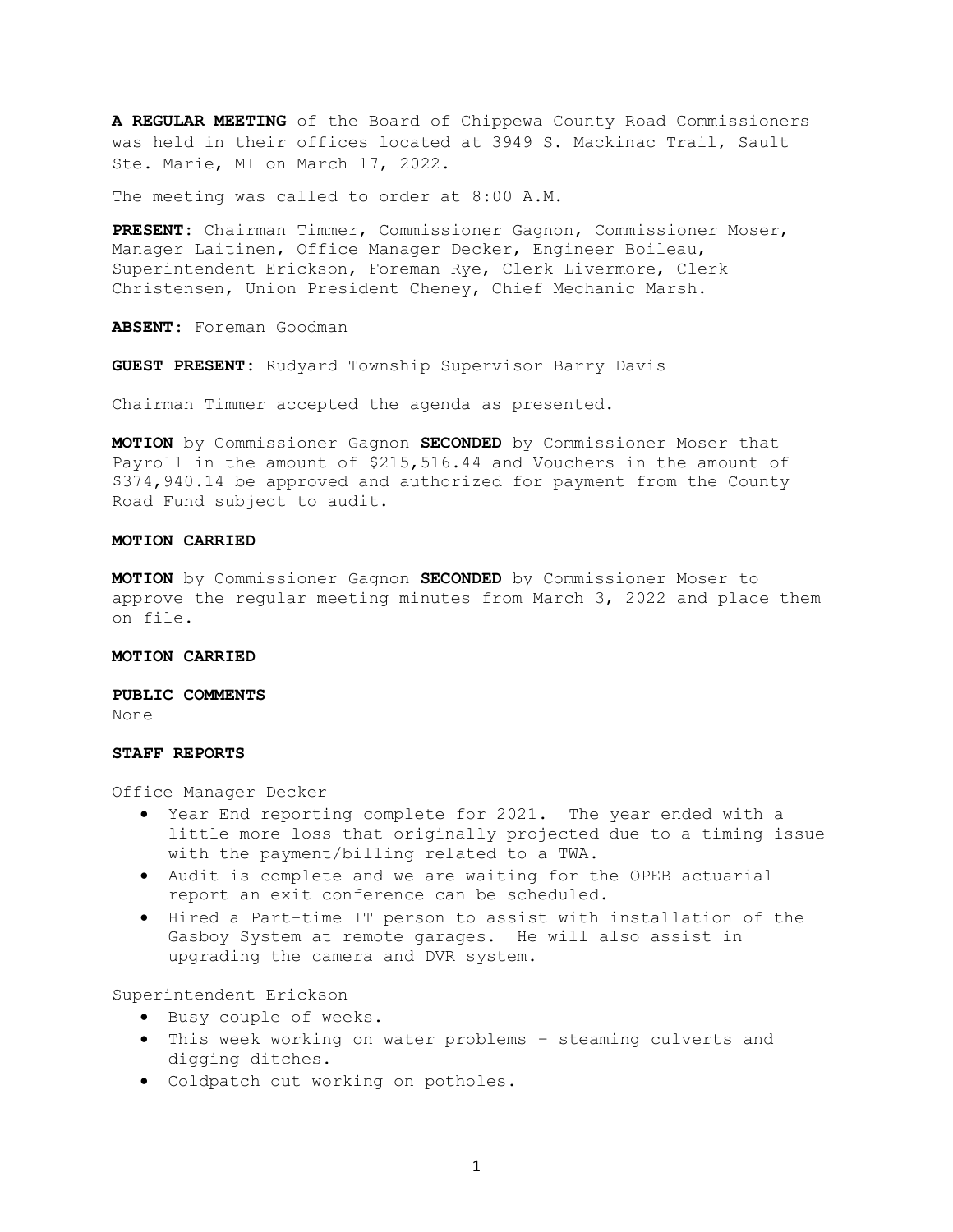**A REGULAR MEETING** of the Board of Chippewa County Road Commissioners was held in their offices located at 3949 S. Mackinac Trail, Sault Ste. Marie, MI on March 17, 2022.

The meeting was called to order at 8:00 A.M.

**PRESENT:** Chairman Timmer, Commissioner Gagnon, Commissioner Moser, Manager Laitinen, Office Manager Decker, Engineer Boileau, Superintendent Erickson, Foreman Rye, Clerk Livermore, Clerk Christensen, Union President Cheney, Chief Mechanic Marsh.

**ABSENT**: Foreman Goodman

**GUEST PRESENT:** Rudyard Township Supervisor Barry Davis

Chairman Timmer accepted the agenda as presented.

**MOTION** by Commissioner Gagnon **SECONDED** by Commissioner Moser that Payroll in the amount of \$215,516.44 and Vouchers in the amount of \$374,940.14 be approved and authorized for payment from the County Road Fund subject to audit.

## **MOTION CARRIED**

**MOTION** by Commissioner Gagnon **SECONDED** by Commissioner Moser to approve the regular meeting minutes from March 3, 2022 and place them on file.

#### **MOTION CARRIED**

**PUBLIC COMMENTS** None

# **STAFF REPORTS**

Office Manager Decker

- Year End reporting complete for 2021. The year ended with a little more loss that originally projected due to a timing issue with the payment/billing related to a TWA.
- Audit is complete and we are waiting for the OPEB actuarial report an exit conference can be scheduled.
- Hired a Part-time IT person to assist with installation of the Gasboy System at remote garages. He will also assist in upgrading the camera and DVR system.

Superintendent Erickson

- Busy couple of weeks.
- This week working on water problems steaming culverts and digging ditches.
- Coldpatch out working on potholes.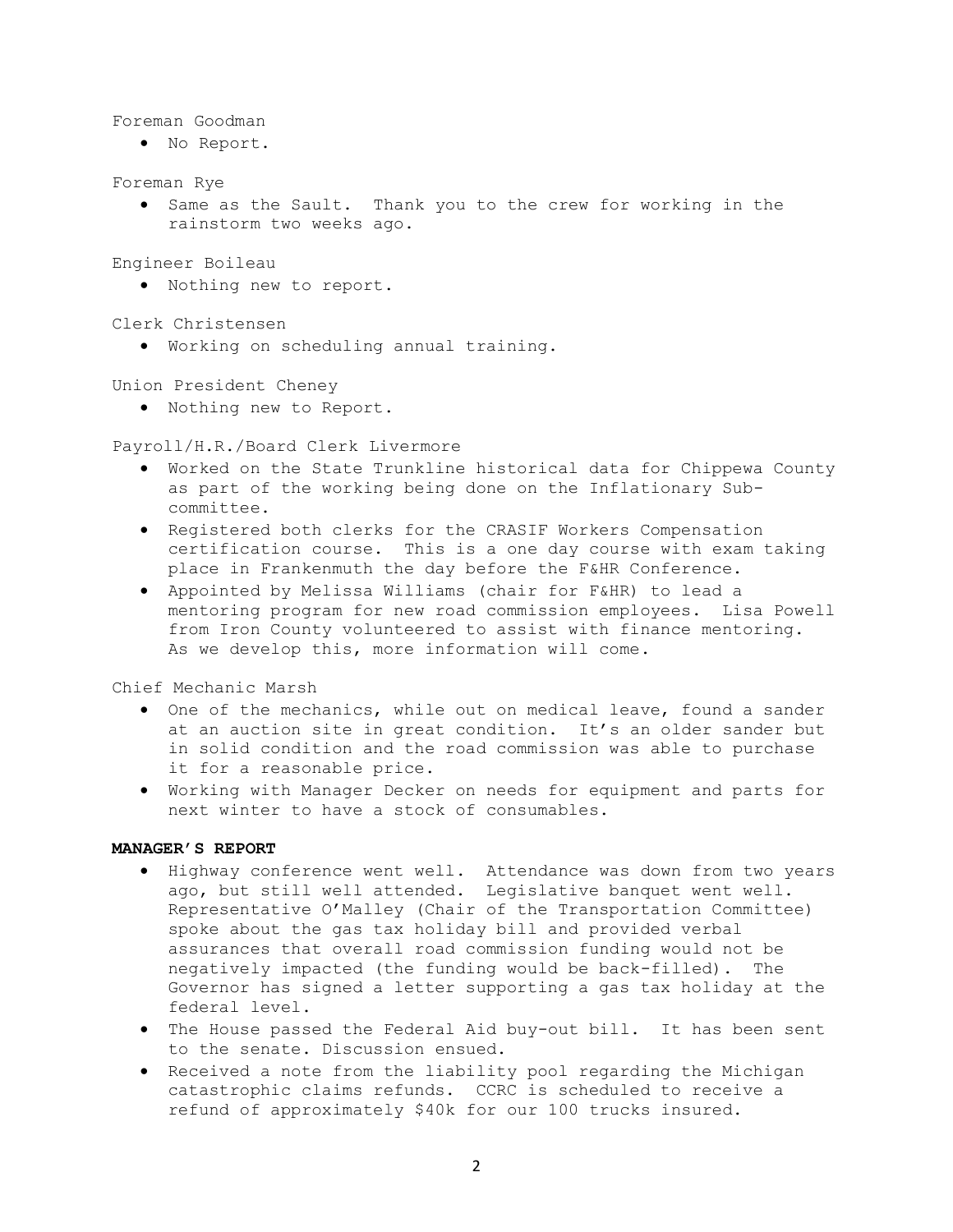Foreman Goodman

• No Report.

Foreman Rye

• Same as the Sault. Thank you to the crew for working in the rainstorm two weeks ago.

Engineer Boileau

• Nothing new to report.

Clerk Christensen

• Working on scheduling annual training.

Union President Cheney

• Nothing new to Report.

Payroll/H.R./Board Clerk Livermore

- Worked on the State Trunkline historical data for Chippewa County as part of the working being done on the Inflationary Subcommittee.
- Registered both clerks for the CRASIF Workers Compensation certification course. This is a one day course with exam taking place in Frankenmuth the day before the F&HR Conference.
- Appointed by Melissa Williams (chair for F&HR) to lead a mentoring program for new road commission employees. Lisa Powell from Iron County volunteered to assist with finance mentoring. As we develop this, more information will come.

Chief Mechanic Marsh

- One of the mechanics, while out on medical leave, found a sander at an auction site in great condition. It's an older sander but in solid condition and the road commission was able to purchase it for a reasonable price.
- Working with Manager Decker on needs for equipment and parts for next winter to have a stock of consumables.

## **MANAGER'S REPORT**

- Highway conference went well. Attendance was down from two years ago, but still well attended. Legislative banquet went well. Representative O'Malley (Chair of the Transportation Committee) spoke about the gas tax holiday bill and provided verbal assurances that overall road commission funding would not be negatively impacted (the funding would be back-filled). The Governor has signed a letter supporting a gas tax holiday at the federal level.
- The House passed the Federal Aid buy-out bill. It has been sent to the senate. Discussion ensued.
- Received a note from the liability pool regarding the Michigan catastrophic claims refunds. CCRC is scheduled to receive a refund of approximately \$40k for our 100 trucks insured.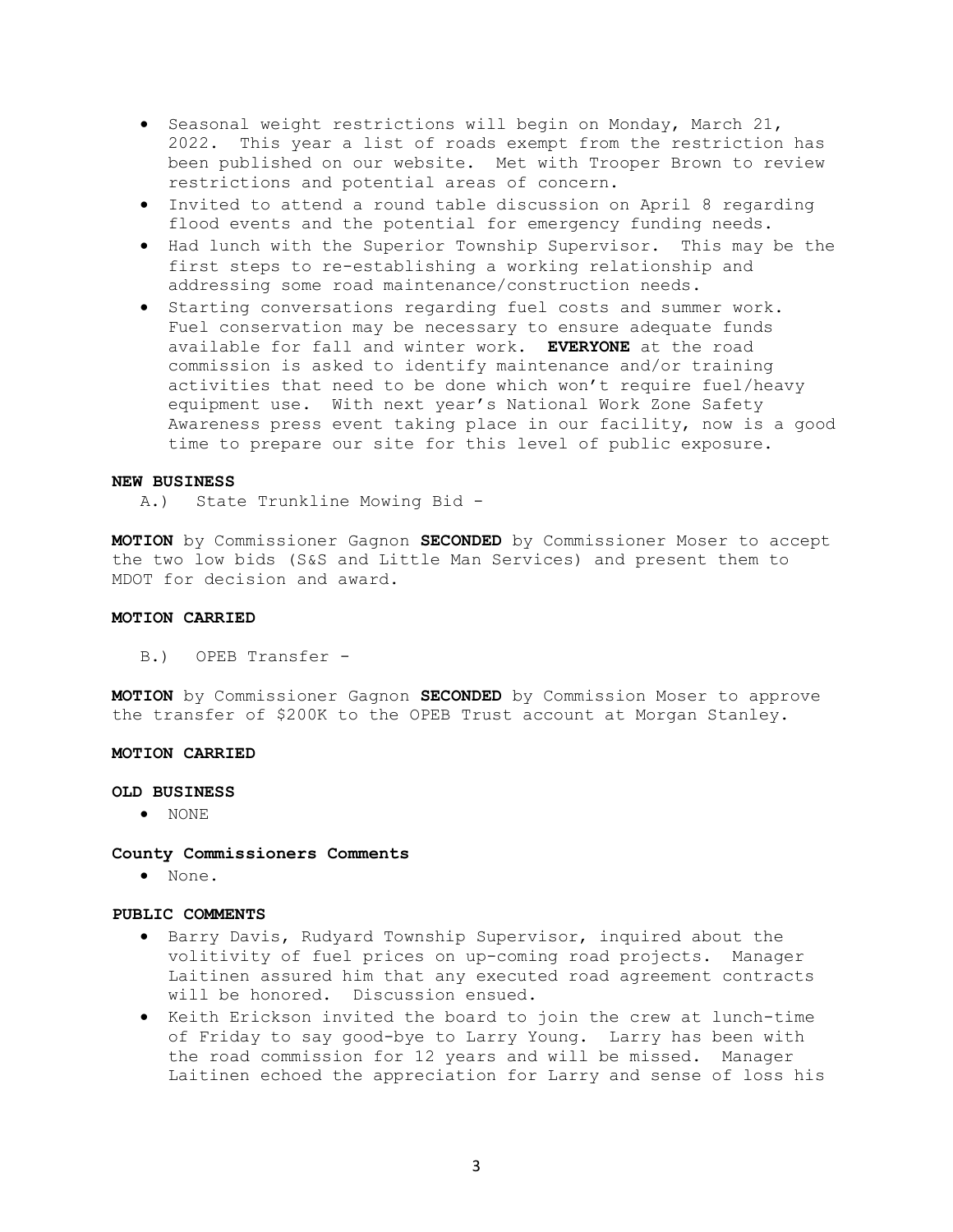- Seasonal weight restrictions will begin on Monday, March 21, 2022. This year a list of roads exempt from the restriction has been published on our website. Met with Trooper Brown to review restrictions and potential areas of concern.
- Invited to attend a round table discussion on April 8 regarding flood events and the potential for emergency funding needs.
- Had lunch with the Superior Township Supervisor. This may be the first steps to re-establishing a working relationship and addressing some road maintenance/construction needs.
- Starting conversations regarding fuel costs and summer work. Fuel conservation may be necessary to ensure adequate funds available for fall and winter work. **EVERYONE** at the road commission is asked to identify maintenance and/or training activities that need to be done which won't require fuel/heavy equipment use. With next year's National Work Zone Safety Awareness press event taking place in our facility, now is a good time to prepare our site for this level of public exposure.

## **NEW BUSINESS**

A.) State Trunkline Mowing Bid -

**MOTION** by Commissioner Gagnon **SECONDED** by Commissioner Moser to accept the two low bids (S&S and Little Man Services) and present them to MDOT for decision and award.

## **MOTION CARRIED**

B.) OPEB Transfer -

**MOTION** by Commissioner Gagnon **SECONDED** by Commission Moser to approve the transfer of \$200K to the OPEB Trust account at Morgan Stanley.

## **MOTION CARRIED**

#### **OLD BUSINESS**

• NONE

**County Commissioners Comments** 

• None.

# **PUBLIC COMMENTS**

- Barry Davis, Rudyard Township Supervisor, inquired about the volitivity of fuel prices on up-coming road projects. Manager Laitinen assured him that any executed road agreement contracts will be honored. Discussion ensued.
- Keith Erickson invited the board to join the crew at lunch-time of Friday to say good-bye to Larry Young. Larry has been with the road commission for 12 years and will be missed. Manager Laitinen echoed the appreciation for Larry and sense of loss his